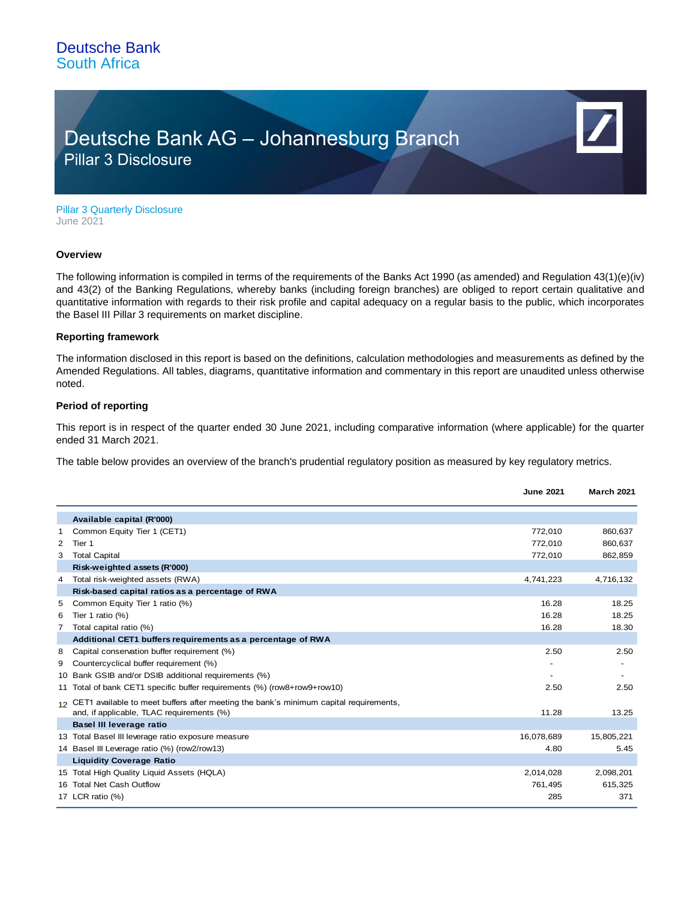## Deutsche Bank AG – Johannesburg Branch Pillar 3 Disclosure

Pillar 3 Quarterly Disclosure June 2021

#### **Overview**

The following information is compiled in terms of the requirements of the Banks Act 1990 (as amended) and Regulation 43(1)(e)(iv) and 43(2) of the Banking Regulations, whereby banks (including foreign branches) are obliged to report certain qualitative and quantitative information with regards to their risk profile and capital adequacy on a regular basis to the public, which incorporates the Basel III Pillar 3 requirements on market discipline.

### **Reporting framework**

The information disclosed in this report is based on the definitions, calculation methodologies and measurements as defined by the Amended Regulations. All tables, diagrams, quantitative information and commentary in this report are unaudited unless otherwise noted.

### **Period of reporting**

This report is in respect of the quarter ended 30 June 2021, including comparative information (where applicable) for the quarter ended 31 March 2021.

The table below provides an overview of the branch's prudential regulatory position as measured by key regulatory metrics.

|   |                                                                                                                                       | <b>June 2021</b> | <b>March 2021</b> |
|---|---------------------------------------------------------------------------------------------------------------------------------------|------------------|-------------------|
|   | Available capital (R'000)                                                                                                             |                  |                   |
| 1 | Common Equity Tier 1 (CET1)                                                                                                           | 772,010          | 860,637           |
| 2 | Tier 1                                                                                                                                | 772,010          | 860,637           |
| 3 | <b>Total Capital</b>                                                                                                                  | 772,010          | 862,859           |
|   | Risk-weighted assets (R'000)                                                                                                          |                  |                   |
| 4 | Total risk-weighted assets (RWA)                                                                                                      | 4,741,223        | 4,716,132         |
|   | Risk-based capital ratios as a percentage of RWA                                                                                      |                  |                   |
| 5 | Common Equity Tier 1 ratio (%)                                                                                                        | 16.28            | 18.25             |
| 6 | Tier 1 ratio (%)                                                                                                                      | 16.28            | 18.25             |
| 7 | Total capital ratio (%)                                                                                                               | 16.28            | 18.30             |
|   | Additional CET1 buffers requirements as a percentage of RWA                                                                           |                  |                   |
| 8 | Capital conservation buffer requirement (%)                                                                                           | 2.50             | 2.50              |
| 9 | Countercyclical buffer requirement (%)                                                                                                |                  |                   |
|   | 10 Bank GSIB and/or DSIB additional requirements (%)                                                                                  |                  |                   |
|   | 11 Total of bank CET1 specific buffer requirements (%) (row8+row9+row10)                                                              | 2.50             | 2.50              |
|   | 12 CET1 available to meet buffers after meeting the bank's minimum capital requirements,<br>and, if applicable, TLAC requirements (%) | 11.28            | 13.25             |
|   | Basel III leverage ratio                                                                                                              |                  |                   |
|   | 13 Total Basel III leverage ratio exposure measure                                                                                    | 16,078,689       | 15,805,221        |
|   | 14 Basel III Leverage ratio (%) (row2/row13)                                                                                          | 4.80             | 5.45              |
|   | <b>Liquidity Coverage Ratio</b>                                                                                                       |                  |                   |
|   | 15 Total High Quality Liquid Assets (HQLA)                                                                                            | 2,014,028        | 2,098,201         |
|   | 16 Total Net Cash Outflow                                                                                                             | 761,495          | 615,325           |
|   | 17 LCR ratio (%)                                                                                                                      | 285              | 371               |